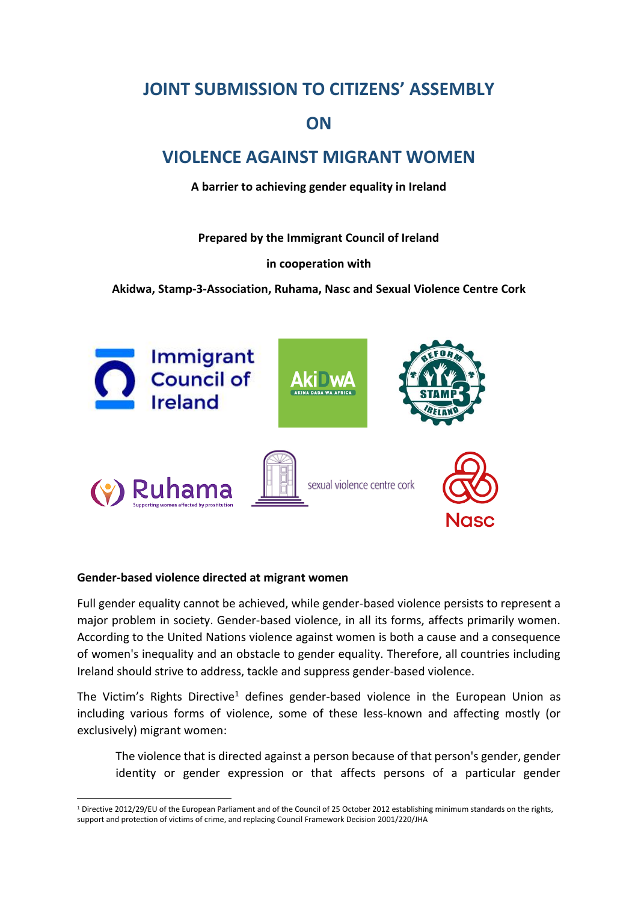# **JOINT SUBMISSION TO CITIZENS' ASSEMBLY**

# **ON**

# **VIOLENCE AGAINST MIGRANT WOMEN**

**A barrier to achieving gender equality in Ireland**

**Prepared by the Immigrant Council of Ireland** 

## **in cooperation with**

**Akidwa, Stamp-3-Association, Ruhama, Nasc and Sexual Violence Centre Cork**



## **Gender-based violence directed at migrant women**

1

Full gender equality cannot be achieved, while gender-based violence persists to represent a major problem in society. Gender-based violence, in all its forms, affects primarily women. According to the United Nations violence against women is both a cause and a consequence of women's inequality and an obstacle to gender equality. Therefore, all countries including Ireland should strive to address, tackle and suppress gender-based violence.

The Victim's Rights Directive<sup>1</sup> defines gender-based violence in the European Union as including various forms of violence, some of these less-known and affecting mostly (or exclusively) migrant women:

The violence that is directed against a person because of that person's gender, gender identity or gender expression or that affects persons of a particular gender

 $1$  Directive 2012/29/EU of the European Parliament and of the Council of 25 October 2012 establishing minimum standards on the rights, support and protection of victims of crime, and replacing Council Framework Decision 2001/220/JHA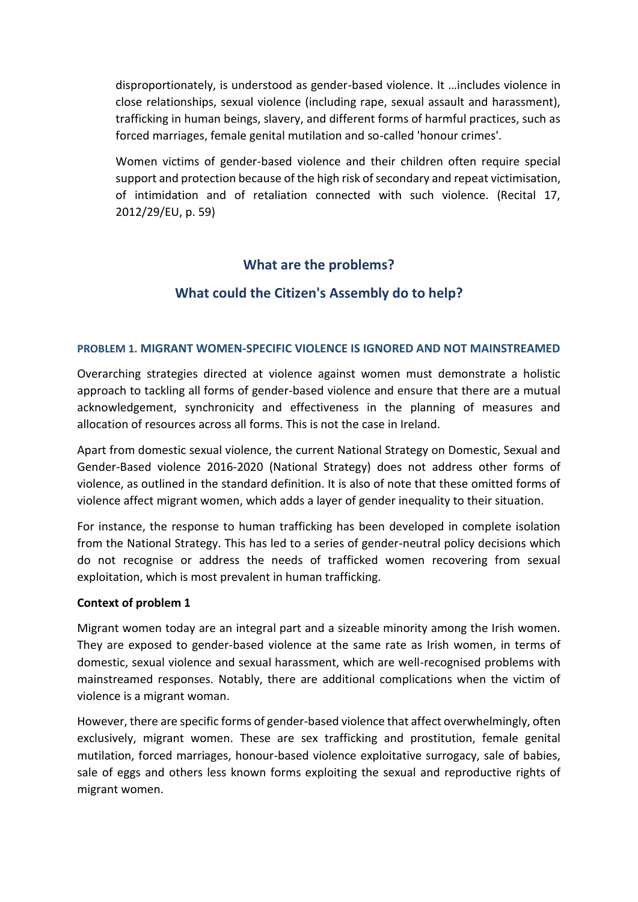disproportionately, is understood as gender-based violence. It …includes violence in close relationships, sexual violence (including rape, sexual assault and harassment), trafficking in human beings, slavery, and different forms of harmful practices, such as forced marriages, female genital mutilation and so-called 'honour crimes'.

Women victims of gender-based violence and their children often require special support and protection because of the high risk of secondary and repeat victimisation, of intimidation and of retaliation connected with such violence. (Recital 17, 2012/29/EU, p. 59)

# **What are the problems?**

# **What could the Citizen's Assembly do to help?**

### **PROBLEM 1. MIGRANT WOMEN-SPECIFIC VIOLENCE IS IGNORED AND NOT MAINSTREAMED**

Overarching strategies directed at violence against women must demonstrate a holistic approach to tackling all forms of gender-based violence and ensure that there are a mutual acknowledgement, synchronicity and effectiveness in the planning of measures and allocation of resources across all forms. This is not the case in Ireland.

Apart from domestic sexual violence, the current National Strategy on Domestic, Sexual and Gender-Based violence 2016-2020 (National Strategy) does not address other forms of violence, as outlined in the standard definition. It is also of note that these omitted forms of violence affect migrant women, which adds a layer of gender inequality to their situation.

For instance, the response to human trafficking has been developed in complete isolation from the National Strategy. This has led to a series of gender-neutral policy decisions which do not recognise or address the needs of trafficked women recovering from sexual exploitation, which is most prevalent in human trafficking.

#### **Context of problem 1**

Migrant women today are an integral part and a sizeable minority among the Irish women. They are exposed to gender-based violence at the same rate as Irish women, in terms of domestic, sexual violence and sexual harassment, which are well-recognised problems with mainstreamed responses. Notably, there are additional complications when the victim of violence is a migrant woman.

However, there are specific forms of gender-based violence that affect overwhelmingly, often exclusively, migrant women. These are sex trafficking and prostitution, female genital mutilation, forced marriages, honour-based violence exploitative surrogacy, sale of babies, sale of eggs and others less known forms exploiting the sexual and reproductive rights of migrant women.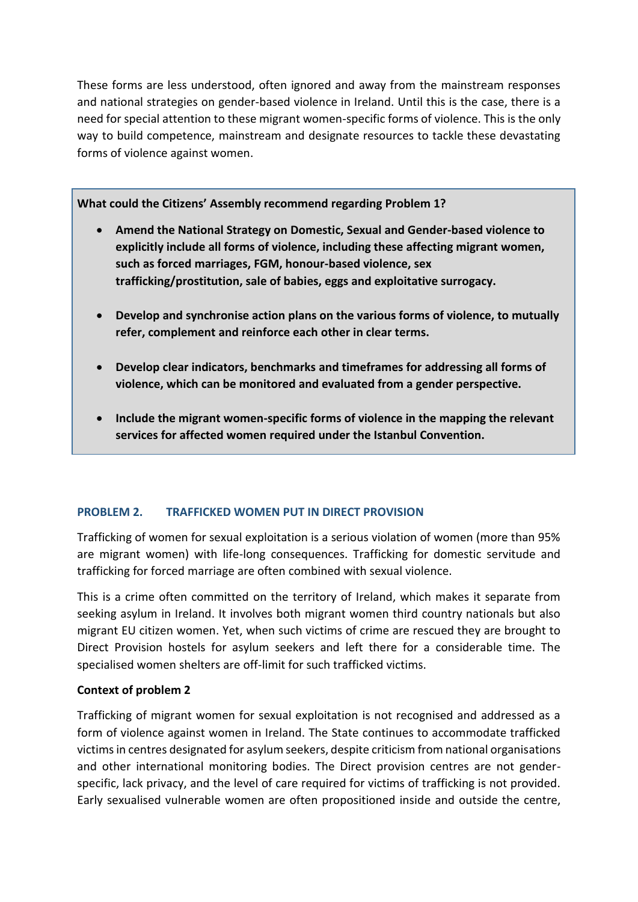These forms are less understood, often ignored and away from the mainstream responses and national strategies on gender-based violence in Ireland. Until this is the case, there is a need for special attention to these migrant women-specific forms of violence. This is the only way to build competence, mainstream and designate resources to tackle these devastating forms of violence against women.

**What could the Citizens' Assembly recommend regarding Problem 1?**

- **Amend the National Strategy on Domestic, Sexual and Gender-based violence to explicitly include all forms of violence, including these affecting migrant women, such as forced marriages, FGM, honour-based violence, sex trafficking/prostitution, sale of babies, eggs and exploitative surrogacy.**
- **Develop and synchronise action plans on the various forms of violence, to mutually refer, complement and reinforce each other in clear terms.**
- **Develop clear indicators, benchmarks and timeframes for addressing all forms of violence, which can be monitored and evaluated from a gender perspective.**
- **Include the migrant women-specific forms of violence in the mapping the relevant services for affected women required under the Istanbul Convention.**

# **PROBLEM 2. TRAFFICKED WOMEN PUT IN DIRECT PROVISION**

Trafficking of women for sexual exploitation is a serious violation of women (more than 95% are migrant women) with life-long consequences. Trafficking for domestic servitude and trafficking for forced marriage are often combined with sexual violence.

This is a crime often committed on the territory of Ireland, which makes it separate from seeking asylum in Ireland. It involves both migrant women third country nationals but also migrant EU citizen women. Yet, when such victims of crime are rescued they are brought to Direct Provision hostels for asylum seekers and left there for a considerable time. The specialised women shelters are off-limit for such trafficked victims.

## **Context of problem 2**

Trafficking of migrant women for sexual exploitation is not recognised and addressed as a form of violence against women in Ireland. The State continues to accommodate trafficked victims in centres designated for asylum seekers, despite criticism from national organisations and other international monitoring bodies. The Direct provision centres are not genderspecific, lack privacy, and the level of care required for victims of trafficking is not provided. Early sexualised vulnerable women are often propositioned inside and outside the centre,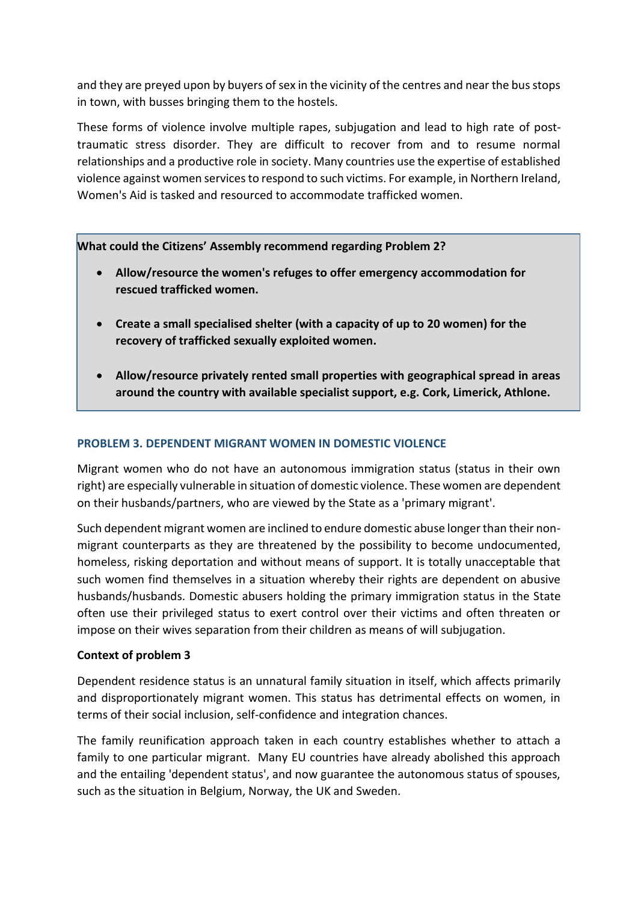and they are preyed upon by buyers of sex in the vicinity of the centres and near the bus stops in town, with busses bringing them to the hostels.

These forms of violence involve multiple rapes, subjugation and lead to high rate of posttraumatic stress disorder. They are difficult to recover from and to resume normal relationships and a productive role in society. Many countries use the expertise of established violence against women services to respond to such victims. For example, in Northern Ireland, Women's Aid is tasked and resourced to accommodate trafficked women.

**What could the Citizens' Assembly recommend regarding Problem 2?**

- **Allow/resource the women's refuges to offer emergency accommodation for rescued trafficked women.**
- **Create a small specialised shelter (with a capacity of up to 20 women) for the recovery of trafficked sexually exploited women.**
- **Allow/resource privately rented small properties with geographical spread in areas around the country with available specialist support, e.g. Cork, Limerick, Athlone.**

# **PROBLEM 3. DEPENDENT MIGRANT WOMEN IN DOMESTIC VIOLENCE**

Migrant women who do not have an autonomous immigration status (status in their own right) are especially vulnerable in situation of domestic violence. These women are dependent on their husbands/partners, who are viewed by the State as a 'primary migrant'.

Such dependent migrant women are inclined to endure domestic abuse longer than their nonmigrant counterparts as they are threatened by the possibility to become undocumented, homeless, risking deportation and without means of support. It is totally unacceptable that such women find themselves in a situation whereby their rights are dependent on abusive husbands/husbands. Domestic abusers holding the primary immigration status in the State often use their privileged status to exert control over their victims and often threaten or impose on their wives separation from their children as means of will subjugation.

# **Context of problem 3**

Dependent residence status is an unnatural family situation in itself, which affects primarily and disproportionately migrant women. This status has detrimental effects on women, in terms of their social inclusion, self-confidence and integration chances.

The family reunification approach taken in each country establishes whether to attach a family to one particular migrant. Many EU countries have already abolished this approach and the entailing 'dependent status', and now guarantee the autonomous status of spouses, such as the situation in Belgium, Norway, the UK and Sweden.